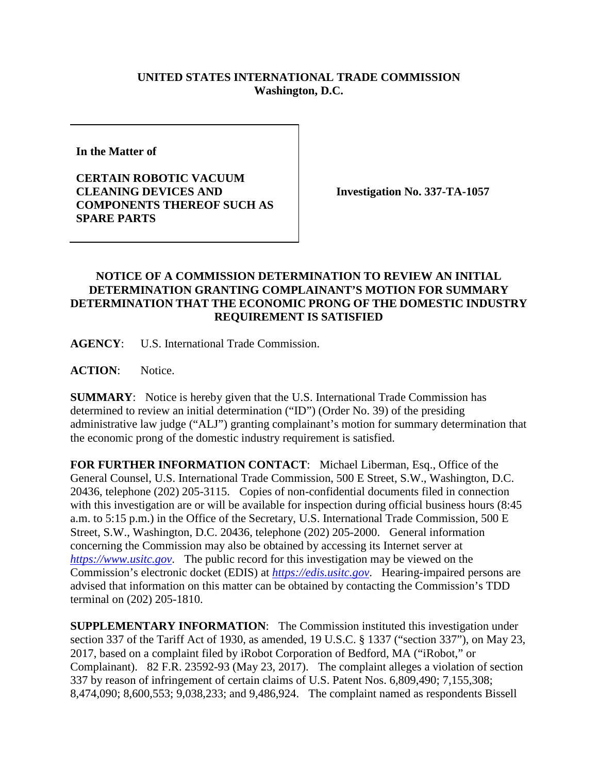## **UNITED STATES INTERNATIONAL TRADE COMMISSION Washington, D.C.**

**In the Matter of** 

**CERTAIN ROBOTIC VACUUM CLEANING DEVICES AND COMPONENTS THEREOF SUCH AS SPARE PARTS**

**Investigation No. 337-TA-1057**

## **NOTICE OF A COMMISSION DETERMINATION TO REVIEW AN INITIAL DETERMINATION GRANTING COMPLAINANT'S MOTION FOR SUMMARY DETERMINATION THAT THE ECONOMIC PRONG OF THE DOMESTIC INDUSTRY REQUIREMENT IS SATISFIED**

**AGENCY**: U.S. International Trade Commission.

**ACTION**: Notice.

**SUMMARY**: Notice is hereby given that the U.S. International Trade Commission has determined to review an initial determination ("ID") (Order No. 39) of the presiding administrative law judge ("ALJ") granting complainant's motion for summary determination that the economic prong of the domestic industry requirement is satisfied.

**FOR FURTHER INFORMATION CONTACT**: Michael Liberman, Esq., Office of the General Counsel, U.S. International Trade Commission, 500 E Street, S.W., Washington, D.C. 20436, telephone (202) 205-3115. Copies of non-confidential documents filed in connection with this investigation are or will be available for inspection during official business hours (8:45 a.m. to 5:15 p.m.) in the Office of the Secretary, U.S. International Trade Commission, 500 E Street, S.W., Washington, D.C. 20436, telephone (202) 205-2000. General information concerning the Commission may also be obtained by accessing its Internet server at *[https://www.usitc.gov](https://www.usitc.gov/)*. The public record for this investigation may be viewed on the Commission's electronic docket (EDIS) at *[https://edis.usitc.gov](https://edis.usitc.gov/)*. Hearing-impaired persons are advised that information on this matter can be obtained by contacting the Commission's TDD terminal on (202) 205-1810.

**SUPPLEMENTARY INFORMATION**: The Commission instituted this investigation under section 337 of the Tariff Act of 1930, as amended, 19 U.S.C. § 1337 ("section 337"), on May 23, 2017, based on a complaint filed by iRobot Corporation of Bedford, MA ("iRobot," or Complainant). 82 F.R. 23592-93 (May 23, 2017). The complaint alleges a violation of section 337 by reason of infringement of certain claims of U.S. Patent Nos. 6,809,490; 7,155,308; 8,474,090; 8,600,553; 9,038,233; and 9,486,924. The complaint named as respondents Bissell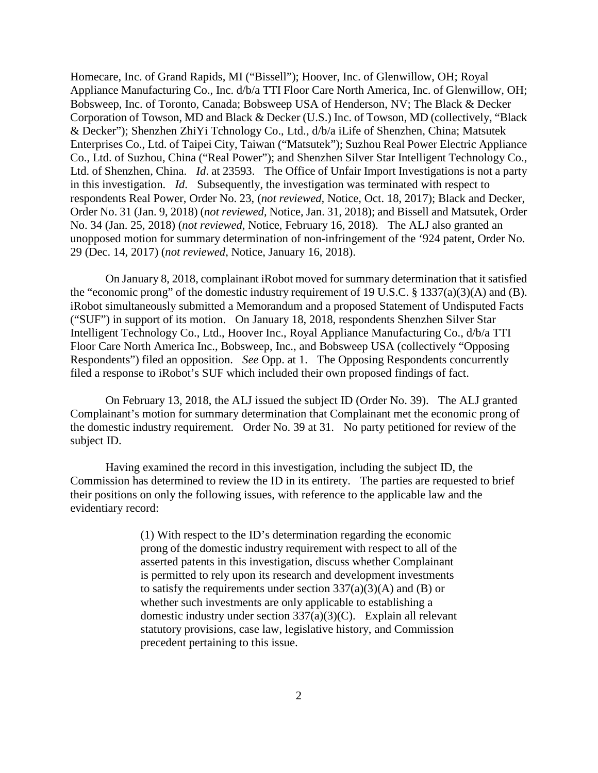Homecare, Inc. of Grand Rapids, MI ("Bissell"); Hoover, Inc. of Glenwillow, OH; Royal Appliance Manufacturing Co., Inc. d/b/a TTI Floor Care North America, Inc. of Glenwillow, OH; Bobsweep, Inc. of Toronto, Canada; Bobsweep USA of Henderson, NV; The Black & Decker Corporation of Towson, MD and Black & Decker (U.S.) Inc. of Towson, MD (collectively, "Black & Decker"); Shenzhen ZhiYi Tchnology Co., Ltd., d/b/a iLife of Shenzhen, China; Matsutek Enterprises Co., Ltd. of Taipei City, Taiwan ("Matsutek"); Suzhou Real Power Electric Appliance Co., Ltd. of Suzhou, China ("Real Power"); and Shenzhen Silver Star Intelligent Technology Co., Ltd. of Shenzhen, China. *Id*. at 23593. The Office of Unfair Import Investigations is not a party in this investigation. *Id*. Subsequently, the investigation was terminated with respect to respondents Real Power, Order No. 23, (*not reviewed,* Notice, Oct. 18, 2017); Black and Decker, Order No. 31 (Jan. 9, 2018) (*not reviewed,* Notice, Jan. 31, 2018); and Bissell and Matsutek, Order No. 34 (Jan. 25, 2018) (*not reviewed*, Notice, February 16, 2018). The ALJ also granted an unopposed motion for summary determination of non-infringement of the '924 patent, Order No. 29 (Dec. 14, 2017) (*not reviewed*, Notice, January 16, 2018).

On January 8, 2018, complainant iRobot moved for summary determination that it satisfied the "economic prong" of the domestic industry requirement of 19 U.S.C. § 1337(a)(3)(A) and (B). iRobot simultaneously submitted a Memorandum and a proposed Statement of Undisputed Facts ("SUF") in support of its motion. On January 18, 2018, respondents Shenzhen Silver Star Intelligent Technology Co., Ltd., Hoover Inc., Royal Appliance Manufacturing Co., d/b/a TTI Floor Care North America Inc., Bobsweep, Inc., and Bobsweep USA (collectively "Opposing Respondents") filed an opposition. *See* Opp. at 1. The Opposing Respondents concurrently filed a response to iRobot's SUF which included their own proposed findings of fact.

On February 13, 2018, the ALJ issued the subject ID (Order No. 39). The ALJ granted Complainant's motion for summary determination that Complainant met the economic prong of the domestic industry requirement. Order No. 39 at 31. No party petitioned for review of the subject ID.

Having examined the record in this investigation, including the subject ID, the Commission has determined to review the ID in its entirety. The parties are requested to brief their positions on only the following issues, with reference to the applicable law and the evidentiary record:

> (1) With respect to the ID's determination regarding the economic prong of the domestic industry requirement with respect to all of the asserted patents in this investigation, discuss whether Complainant is permitted to rely upon its research and development investments to satisfy the requirements under section  $337(a)(3)(A)$  and (B) or whether such investments are only applicable to establishing a domestic industry under section 337(a)(3)(C). Explain all relevant statutory provisions, case law, legislative history, and Commission precedent pertaining to this issue.